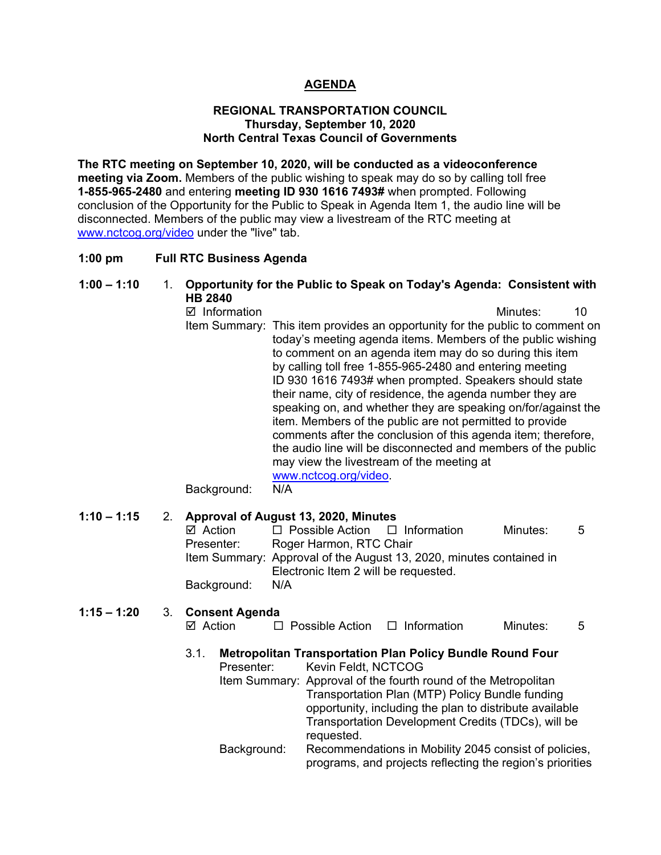## **AGENDA**

### **REGIONAL TRANSPORTATION COUNCIL Thursday, September 10, 2020 North Central Texas Council of Governments**

**The RTC meeting on September 10, 2020, will be conducted as a videoconference meeting via Zoom.** Members of the public wishing to speak may do so by calling toll free **1-855-965-2480** and entering **meeting ID 930 1616 7493#** when prompted. Following conclusion of the Opportunity for the Public to Speak in Agenda Item 1, the audio line will be disconnected. Members of the public may view a livestream of the RTC meeting at [www.nctcog.org/video](http://www.nctcog.org/video) under the "live" tab.

## **1:00 pm Full RTC Business Agenda**

# **1:00 – 1:10** 1. **Opportunity for the Public to Speak on Today's Agenda: Consistent with HB 2840**

 Information Minutes: 10 Item Summary: This item provides an opportunity for the public to comment on today's meeting agenda items. Members of the public wishing to comment on an agenda item may do so during this item by calling toll free 1-855-965-2480 and entering meeting ID 930 1616 7493# when prompted. Speakers should state their name, city of residence, the agenda number they are speaking on, and whether they are speaking on/for/against the item. Members of the public are not permitted to provide comments after the conclusion of this agenda item; therefore, the audio line will be disconnected and members of the public may view the livestream of the meeting at [www.nctcog.org/video.](http://www.nctcog.org/video) Background: N/A

# **1:10 – 1:15** 2. **Approval of August 13, 2020, Minutes**

| $\boxtimes$ Action | $\Box$ Possible Action $\Box$ Information |                                                                     | Minutes: | $5 -$ |
|--------------------|-------------------------------------------|---------------------------------------------------------------------|----------|-------|
| Presenter:         | Roger Harmon, RTC Chair                   |                                                                     |          |       |
|                    |                                           | Item Summary: Approval of the August 13, 2020, minutes contained in |          |       |
|                    | Electronic Item 2 will be requested.      |                                                                     |          |       |
| Background:        | N/A                                       |                                                                     |          |       |

## **1:15 – 1:20** 3. **Consent Agenda**

| ⊠ Action<br>$\Box$ Possible Action | $\Box$ Information | Minutes: |  |
|------------------------------------|--------------------|----------|--|
|------------------------------------|--------------------|----------|--|

- 3.1. **Metropolitan Transportation Plan Policy Bundle Round Four** Presenter: Kevin Feldt. NCTCOG
	- Item Summary: Approval of the fourth round of the Metropolitan Transportation Plan (MTP) Policy Bundle funding opportunity, including the plan to distribute available Transportation Development Credits (TDCs), will be requested.
	- Background: Recommendations in Mobility 2045 consist of policies, programs, and projects reflecting the region's priorities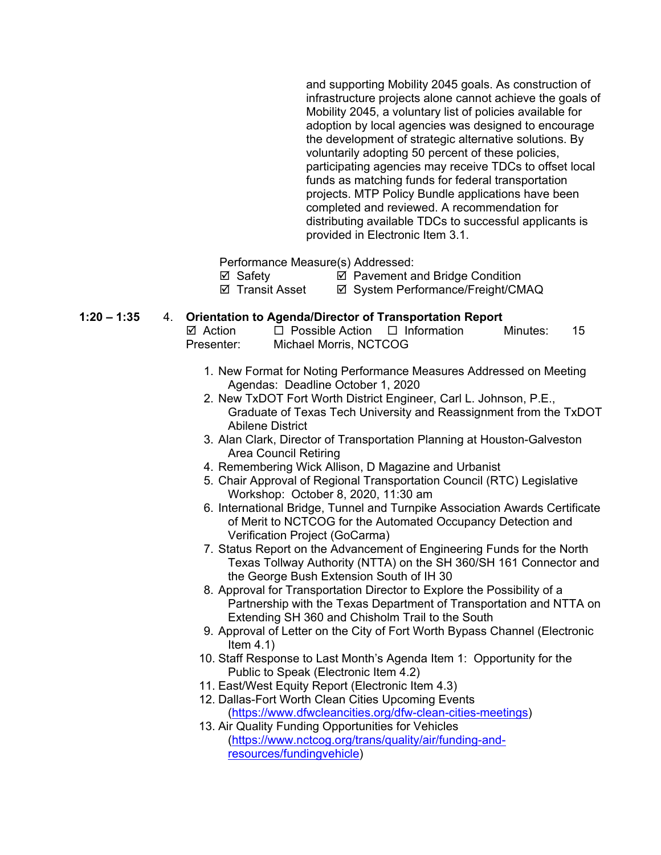and supporting Mobility 2045 goals. As construction of infrastructure projects alone cannot achieve the goals of Mobility 2045, a voluntary list of policies available for adoption by local agencies was designed to encourage the development of strategic alternative solutions. By voluntarily adopting 50 percent of these policies, participating agencies may receive TDCs to offset local funds as matching funds for federal transportation projects. MTP Policy Bundle applications have been completed and reviewed. A recommendation for distributing available TDCs to successful applicants is provided in Electronic Item 3.1.

Performance Measure(s) Addressed:

**Ø** Safety **Ø** Pavement and Bridge Condition

⊠ Transit Asset **II System Performance/Freight/CMAQ** 

# **1:20 – 1:35** 4. **Orientation to Agenda/Director of Transportation Report**

| ☑ Action   | $\Box$ Possible Action $\Box$ Information | Minutes: | - 15 |
|------------|-------------------------------------------|----------|------|
| Presenter: | Michael Morris, NCTCOG                    |          |      |

- 1. New Format for Noting Performance Measures Addressed on Meeting Agendas: Deadline October 1, 2020
- 2. New TxDOT Fort Worth District Engineer, Carl L. Johnson, P.E., Graduate of Texas Tech University and Reassignment from the TxDOT Abilene District
- 3. Alan Clark, Director of Transportation Planning at Houston-Galveston Area Council Retiring
- 4. Remembering Wick Allison, D Magazine and Urbanist
- 5. Chair Approval of Regional Transportation Council (RTC) Legislative Workshop: October 8, 2020, 11:30 am
- 6. International Bridge, Tunnel and Turnpike Association Awards Certificate of Merit to NCTCOG for the Automated Occupancy Detection and Verification Project (GoCarma)
- 7. Status Report on the Advancement of Engineering Funds for the North Texas Tollway Authority (NTTA) on the SH 360/SH 161 Connector and the George Bush Extension South of IH 30
- 8. Approval for Transportation Director to Explore the Possibility of a Partnership with the Texas Department of Transportation and NTTA on Extending SH 360 and Chisholm Trail to the South
- 9. Approval of Letter on the City of Fort Worth Bypass Channel (Electronic Item  $4.1$ )
- 10. Staff Response to Last Month's Agenda Item 1: Opportunity for the Public to Speak (Electronic Item 4.2)
- 11. East/West Equity Report (Electronic Item 4.3)
- 12. Dallas-Fort Worth Clean Cities Upcoming Events [\(https://www.dfwcleancities.org/dfw-clean-cities-meetings\)](https://www.dfwcleancities.org/dfw-clean-cities-meetings)
- 13. Air Quality Funding Opportunities for Vehicles [\(https://www.nctcog.org/trans/quality/air/funding-and](https://www.nctcog.org/trans/quality/air/funding-and-resources/fundingvehicle)[resources/fundingvehicle\)](https://www.nctcog.org/trans/quality/air/funding-and-resources/fundingvehicle)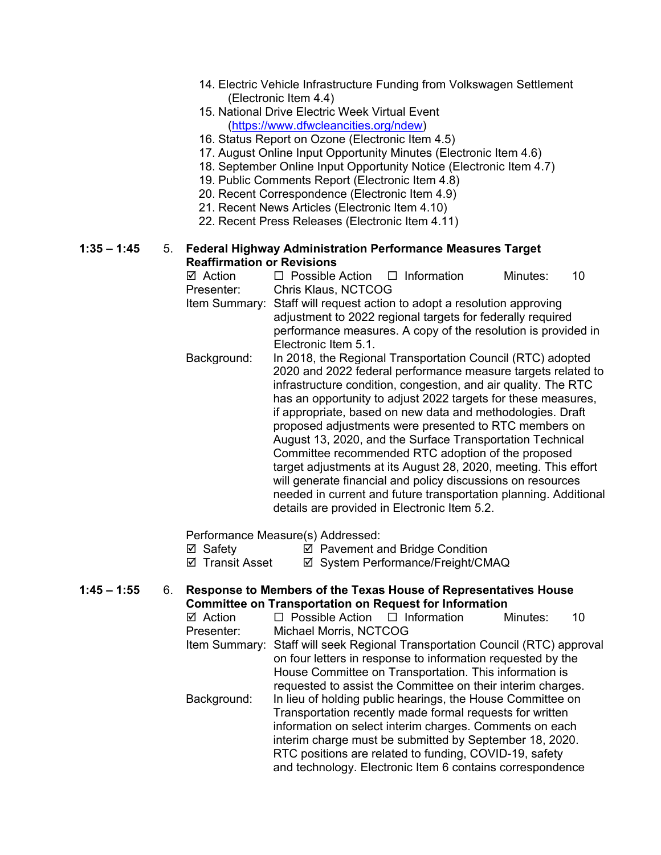- 14. Electric Vehicle Infrastructure Funding from Volkswagen Settlement (Electronic Item 4.4)
- 15. National Drive Electric Week Virtual Event [\(https://www.dfwcleancities.org/ndew\)](https://www.dfwcleancities.org/ndew)
- 16. Status Report on Ozone (Electronic Item 4.5)
- 17. August Online Input Opportunity Minutes (Electronic Item 4.6)
- 18. September Online Input Opportunity Notice (Electronic Item 4.7)
- 19. Public Comments Report (Electronic Item 4.8)
- 20. Recent Correspondence (Electronic Item 4.9)
- 21. Recent News Articles (Electronic Item 4.10)
- 22. Recent Press Releases (Electronic Item 4.11)

### **1:35 – 1:45** 5. **Federal Highway Administration Performance Measures Target Reaffirmation or Revisions**

- $\boxtimes$  Action  $\Box$  Possible Action  $\Box$  Information Minutes: 10 Presenter: Chris Klaus, NCTCOG Item Summary: Staff will request action to adopt a resolution approving adjustment to 2022 regional targets for federally required
	- performance measures. A copy of the resolution is provided in Electronic Item 5.1.
- Background: In 2018, the Regional Transportation Council (RTC) adopted 2020 and 2022 federal performance measure targets related to infrastructure condition, congestion, and air quality. The RTC has an opportunity to adjust 2022 targets for these measures, if appropriate, based on new data and methodologies. Draft proposed adjustments were presented to RTC members on August 13, 2020, and the Surface Transportation Technical Committee recommended RTC adoption of the proposed target adjustments at its August 28, 2020, meeting. This effort will generate financial and policy discussions on resources needed in current and future transportation planning. Additional details are provided in Electronic Item 5.2.

Performance Measure(s) Addressed:

 $\boxtimes$  Safety  $\boxtimes$  Pavement and Bridge Condition

**Ø Transit Asset Ø System Performance/Freight/CMAQ** 

### **1:45 – 1:55** 6. **Response to Members of the Texas House of Representatives House Committee on Transportation on Request for Information**

| $\boxtimes$ Action | $\Box$ Possible Action $\Box$ Information                                    | Minutes: | 10 |
|--------------------|------------------------------------------------------------------------------|----------|----|
| Presenter:         | Michael Morris, NCTCOG                                                       |          |    |
|                    | Item Summary: Staff will seek Regional Transportation Council (RTC) approval |          |    |
|                    | on four letters in response to information requested by the                  |          |    |
|                    | House Committee on Transportation. This information is                       |          |    |
|                    | requested to assist the Committee on their interim charges.                  |          |    |
| Background:        | In lieu of holding public hearings, the House Committee on                   |          |    |
|                    | Transportation recently made formal requests for written                     |          |    |
|                    | information on select interim charges. Comments on each                      |          |    |
|                    | interim charge must be submitted by September 18, 2020.                      |          |    |
|                    | RTC positions are related to funding, COVID-19, safety                       |          |    |
|                    | and technology. Electronic Item 6 contains correspondence                    |          |    |
|                    |                                                                              |          |    |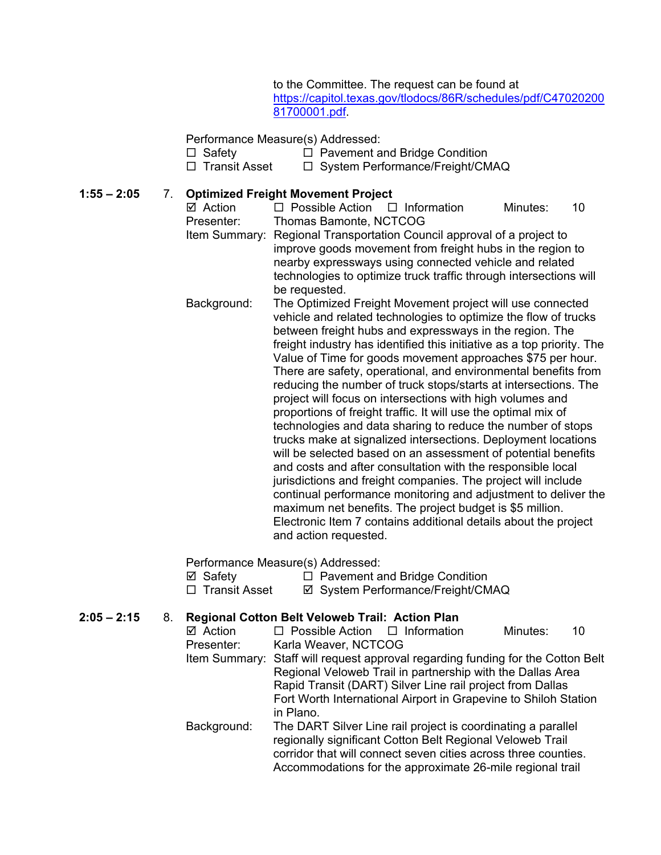to the Committee. The request can be found at [https://capitol.texas.gov/tlodocs/86R/schedules/pdf/C47020200](https://capitol.texas.gov/tlodocs/86R/schedules/pdf/C4702020081700001.pdf) [81700001.pdf.](https://capitol.texas.gov/tlodocs/86R/schedules/pdf/C4702020081700001.pdf)

### Performance Measure(s) Addressed:

- Safety Pavement and Bridge Condition
	- □ System Performance/Freight/CMAQ

### **1:55 – 2:05** 7. **Optimized Freight Movement Project**

 $\boxtimes$  Action  $\square$  Possible Action  $\square$  Information Minutes: 10<br>Presenter: Thomas Bamonte. NCTCOG Thomas Bamonte, NCTCOG Item Summary: Regional Transportation Council approval of a project to improve goods movement from freight hubs in the region to nearby expressways using connected vehicle and related technologies to optimize truck traffic through intersections will be requested. Background: The Optimized Freight Movement project will use connected vehicle and related technologies to optimize the flow of trucks between freight hubs and expressways in the region. The freight industry has identified this initiative as a top priority. The Value of Time for goods movement approaches \$75 per hour.

There are safety, operational, and environmental benefits from reducing the number of truck stops/starts at intersections. The project will focus on intersections with high volumes and proportions of freight traffic. It will use the optimal mix of technologies and data sharing to reduce the number of stops trucks make at signalized intersections. Deployment locations will be selected based on an assessment of potential benefits and costs and after consultation with the responsible local jurisdictions and freight companies. The project will include continual performance monitoring and adjustment to deliver the maximum net benefits. The project budget is \$5 million. Electronic Item 7 contains additional details about the project and action requested.

Performance Measure(s) Addressed:

| ⊠ Safety             | $\Box$ Pavement and Bridge Condition |
|----------------------|--------------------------------------|
| $\Box$ Transit Asset | ☑ System Performance/Freight/CMAQ    |

### **2:05 – 2:15** 8. **Regional Cotton Belt Veloweb Trail: Action Plan**

| ⊠ Action      | $\Box$ Possible Action $\Box$ Information |                                                                   | Minutes: | 10 |
|---------------|-------------------------------------------|-------------------------------------------------------------------|----------|----|
| Presenter:    | Karla Weaver, NCTCOG                      |                                                                   |          |    |
| Item Summary: |                                           | Staff will request approval regarding funding for the Cotton Belt |          |    |
|               |                                           | Regional Veloweb Trail in partnership with the Dallas Area        |          |    |
|               |                                           | Rapid Transit (DART) Silver Line rail project from Dallas         |          |    |
|               |                                           | Fort Worth International Airport in Grapevine to Shiloh Station   |          |    |
|               | in Plano.                                 |                                                                   |          |    |
| Background:   |                                           | The DART Silver Line rail project is coordinating a parallel      |          |    |
|               |                                           | regionally significant Cotton Belt Regional Veloweb Trail         |          |    |
|               |                                           | corridor that will connect seven cities across three counties.    |          |    |
|               |                                           | Accommodations for the approximate 26-mile regional trail         |          |    |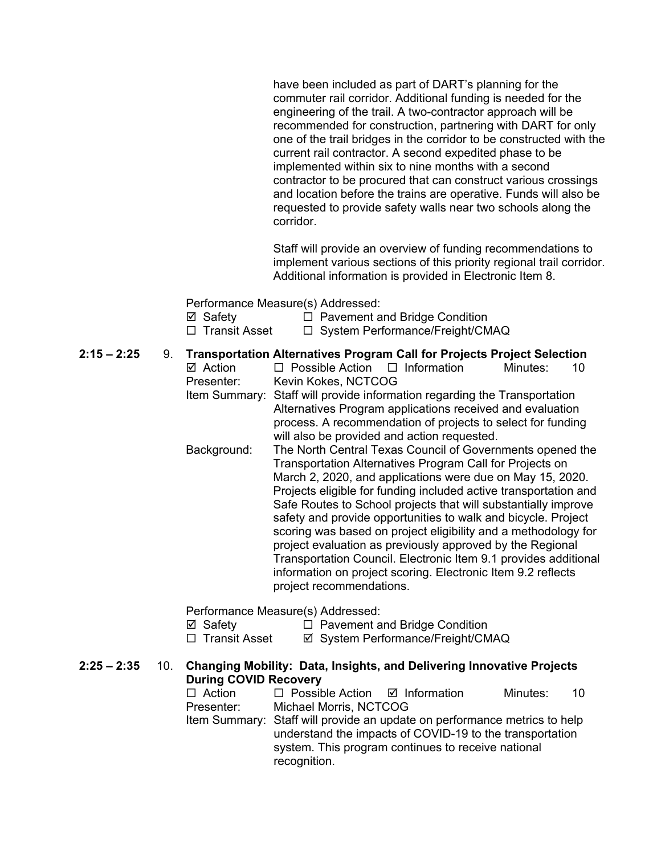have been included as part of DART's planning for the commuter rail corridor. Additional funding is needed for the engineering of the trail. A two-contractor approach will be recommended for construction, partnering with DART for only one of the trail bridges in the corridor to be constructed with the current rail contractor. A second expedited phase to be implemented within six to nine months with a second contractor to be procured that can construct various crossings and location before the trains are operative. Funds will also be requested to provide safety walls near two schools along the corridor.

Staff will provide an overview of funding recommendations to implement various sections of this priority regional trail corridor. Additional information is provided in Electronic Item 8.

Performance Measure(s) Addressed:

| □ Transit Asset | □ System Performance/Freight/CMAQ |
|-----------------|-----------------------------------|
|                 |                                   |

- **2:15 – 2:25** 9. **Transportation Alternatives Program Call for Projects Project Selection**
	- $\Box$  Possible Action  $\Box$  Information Minutes: 10 Presenter: Kevin Kokes, NCTCOG
		- Item Summary: Staff will provide information regarding the Transportation Alternatives Program applications received and evaluation process. A recommendation of projects to select for funding will also be provided and action requested.
		- Background: The North Central Texas Council of Governments opened the Transportation Alternatives Program Call for Projects on March 2, 2020, and applications were due on May 15, 2020. Projects eligible for funding included active transportation and Safe Routes to School projects that will substantially improve safety and provide opportunities to walk and bicycle. Project scoring was based on project eligibility and a methodology for project evaluation as previously approved by the Regional Transportation Council. Electronic Item 9.1 provides additional information on project scoring. Electronic Item 9.2 reflects project recommendations.

Performance Measure(s) Addressed:

 $\boxtimes$  Safety  $\Box$  Pavement and Bridge Condition

□ Transit Asset  $\Box$  System Performance/Freight/CMAQ

## **2:25 – 2:35** 10. **Changing Mobility: Data, Insights, and Delivering Innovative Projects During COVID Recovery**

 $\Box$  Action  $\Box$  Possible Action  $\Box$  Information Minutes: 10 Presenter: Michael Morris, NCTCOG

Item Summary: Staff will provide an update on performance metrics to help understand the impacts of COVID-19 to the transportation system. This program continues to receive national recognition.